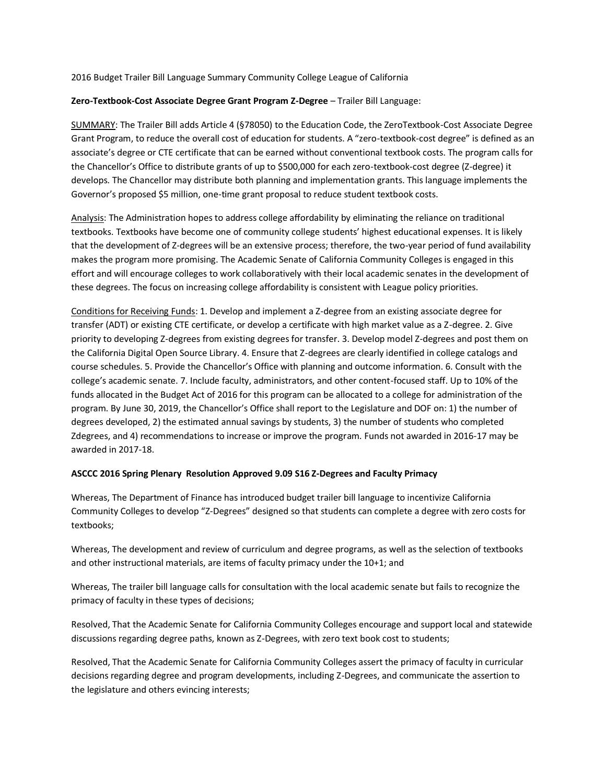2016 Budget Trailer Bill Language Summary Community College League of California

## **Zero-Textbook-Cost Associate Degree Grant Program Z-Degree** – Trailer Bill Language:

SUMMARY: The Trailer Bill adds Article 4 (§78050) to the Education Code, the ZeroTextbook-Cost Associate Degree Grant Program, to reduce the overall cost of education for students. A "zero-textbook-cost degree" is defined as an associate's degree or CTE certificate that can be earned without conventional textbook costs. The program calls for the Chancellor's Office to distribute grants of up to \$500,000 for each zero-textbook-cost degree (Z-degree) it develops. The Chancellor may distribute both planning and implementation grants. This language implements the Governor's proposed \$5 million, one-time grant proposal to reduce student textbook costs.

Analysis: The Administration hopes to address college affordability by eliminating the reliance on traditional textbooks. Textbooks have become one of community college students' highest educational expenses. It is likely that the development of Z-degrees will be an extensive process; therefore, the two-year period of fund availability makes the program more promising. The Academic Senate of California Community Colleges is engaged in this effort and will encourage colleges to work collaboratively with their local academic senates in the development of these degrees. The focus on increasing college affordability is consistent with League policy priorities.

Conditions for Receiving Funds: 1. Develop and implement a Z-degree from an existing associate degree for transfer (ADT) or existing CTE certificate, or develop a certificate with high market value as a Z-degree. 2. Give priority to developing Z-degrees from existing degrees for transfer. 3. Develop model Z-degrees and post them on the California Digital Open Source Library. 4. Ensure that Z-degrees are clearly identified in college catalogs and course schedules. 5. Provide the Chancellor's Office with planning and outcome information. 6. Consult with the college's academic senate. 7. Include faculty, administrators, and other content-focused staff. Up to 10% of the funds allocated in the Budget Act of 2016 for this program can be allocated to a college for administration of the program. By June 30, 2019, the Chancellor's Office shall report to the Legislature and DOF on: 1) the number of degrees developed, 2) the estimated annual savings by students, 3) the number of students who completed Zdegrees, and 4) recommendations to increase or improve the program. Funds not awarded in 2016-17 may be awarded in 2017-18.

## **ASCCC 2016 Spring Plenary Resolution Approved 9.09 S16 Z-Degrees and Faculty Primacy**

Whereas, The Department of Finance has introduced budget trailer bill language to incentivize California Community Colleges to develop "Z-Degrees" designed so that students can complete a degree with zero costs for textbooks;

Whereas, The development and review of curriculum and degree programs, as well as the selection of textbooks and other instructional materials, are items of faculty primacy under the 10+1; and

Whereas, The trailer bill language calls for consultation with the local academic senate but fails to recognize the primacy of faculty in these types of decisions;

Resolved, That the Academic Senate for California Community Colleges encourage and support local and statewide discussions regarding degree paths, known as Z-Degrees, with zero text book cost to students;

Resolved, That the Academic Senate for California Community Colleges assert the primacy of faculty in curricular decisions regarding degree and program developments, including Z-Degrees, and communicate the assertion to the legislature and others evincing interests;